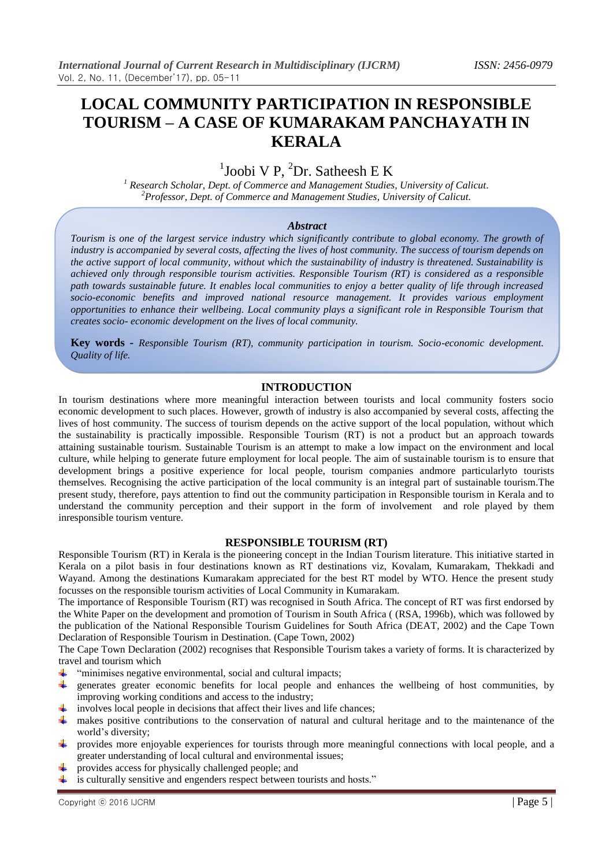## **LOCAL COMMUNITY PARTICIPATION IN RESPONSIBLE TOURISM – A CASE OF KUMARAKAM PANCHAYATH IN KERALA**

## $1$ Joobi V P,  $2$ Dr. Satheesh E K

*<sup>1</sup> Research Scholar, Dept. of Commerce and Management Studies, University of Calicut. <sup>2</sup>Professor, Dept. of Commerce and Management Studies, University of Calicut.*

#### *Abstract*

*Tourism is one of the largest service industry which significantly contribute to global economy. The growth of industry is accompanied by several costs, affecting the lives of host community. The success of tourism depends on the active support of local community, without which the sustainability of industry is threatened. Sustainability is achieved only through responsible tourism activities. Responsible Tourism (RT) is considered as a responsible path towards sustainable future. It enables local communities to enjoy a better quality of life through increased socio-economic benefits and improved national resource management. It provides various employment opportunities to enhance their wellbeing. Local community plays a significant role in Responsible Tourism that creates socio- economic development on the lives of local community.*

**Key words -** *Responsible Tourism (RT), community participation in tourism. Socio-economic development. Quality of life.*

#### **INTRODUCTION**

In tourism destinations where more meaningful interaction between tourists and local community fosters socio economic development to such places. However, growth of industry is also accompanied by several costs, affecting the lives of host community. The success of tourism depends on the active support of the local population, without which the sustainability is practically impossible. Responsible Tourism (RT) is not a product but an approach towards attaining sustainable tourism. Sustainable Tourism is an attempt to make a low impact on the environment and local culture, while helping to generate future employment for local people. The aim of sustainable tourism is to ensure that development brings a positive experience for local people, tourism companies andmore particularlyto tourists themselves. Recognising the active participation of the local community is an integral part of sustainable tourism.The present study, therefore, pays attention to find out the community participation in Responsible tourism in Kerala and to understand the community perception and their support in the form of involvement and role played by them inresponsible tourism venture.

#### **RESPONSIBLE TOURISM (RT)**

Responsible Tourism (RT) in Kerala is the pioneering concept in the Indian Tourism literature. This initiative started in Kerala on a pilot basis in four destinations known as RT destinations viz, Kovalam, Kumarakam, Thekkadi and Wayand. Among the destinations Kumarakam appreciated for the best RT model by WTO. Hence the present study focusses on the responsible tourism activities of Local Community in Kumarakam.

The importance of Responsible Tourism (RT) was recognised in South Africa. The concept of RT was first endorsed by the White Paper on the development and promotion of Tourism in South Africa ( (RSA, 1996b), which was followed by the publication of the National Responsible Tourism Guidelines for South Africa (DEAT, 2002) and the Cape Town Declaration of Responsible Tourism in Destination. (Cape Town, 2002)

The Cape Town Declaration (2002) recognises that Responsible Tourism takes a variety of forms. It is characterized by travel and tourism which

- $\frac{1}{\sqrt{1-\frac{1}{\sqrt{1-\frac{1}{\sqrt{1-\frac{1}{\sqrt{1-\frac{1}{\sqrt{1-\frac{1}{\sqrt{1-\frac{1}{\sqrt{1-\frac{1}{\sqrt{1-\frac{1}{\sqrt{1-\frac{1}{\sqrt{1-\frac{1}{\sqrt{1-\frac{1}{\sqrt{1-\frac{1}{\sqrt{1-\frac{1}{\sqrt{1-\frac{1}{\sqrt{1-\frac{1}{\sqrt{1-\frac{1}{\sqrt{1-\frac{1}{\sqrt{1-\frac{1}{\sqrt{1-\frac{1}{\sqrt{1-\frac{1}{\sqrt{1-\frac{1}{\sqrt{1-\frac{1}{\sqrt{1-\frac{1}{\sqrt{1-\frac{1$
- **.** generates greater economic benefits for local people and enhances the wellbeing of host communities, by improving working conditions and access to the industry;
- $\ddot{\bullet}$  involves local people in decisions that affect their lives and life chances;
- all. makes positive contributions to the conservation of natural and cultural heritage and to the maintenance of the world's diversity;
- provides more enjoyable experiences for tourists through more meaningful connections with local people, and a greater understanding of local cultural and environmental issues;
- ₩. provides access for physically challenged people; and
- $\ddot{\bullet}$  is culturally sensitive and engenders respect between tourists and hosts."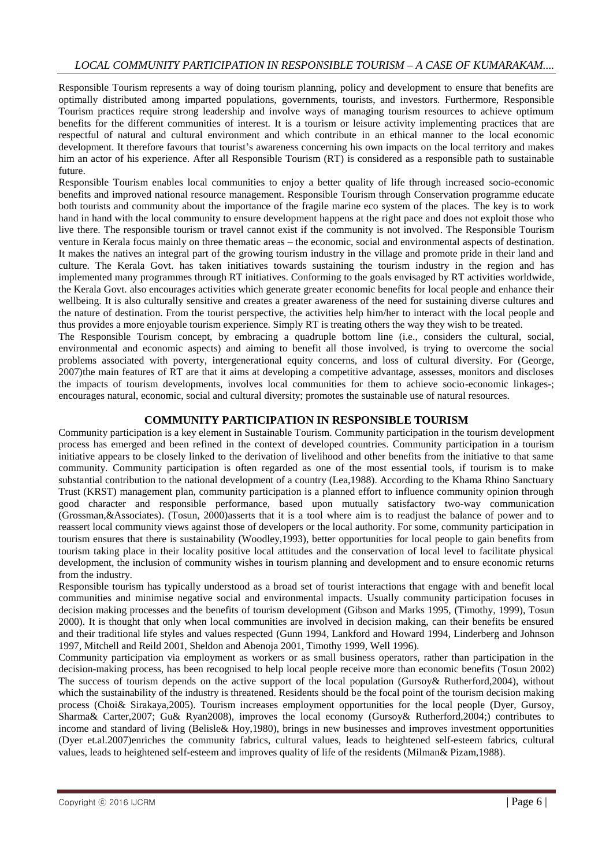## *LOCAL COMMUNITY PARTICIPATION IN RESPONSIBLE TOURISM – A CASE OF KUMARAKAM....*

Responsible Tourism represents a way of doing tourism planning, policy and development to ensure that benefits are optimally distributed among imparted populations, governments, tourists, and investors. Furthermore, Responsible Tourism practices require strong leadership and involve ways of managing tourism resources to achieve optimum benefits for the different communities of interest. It is a tourism or leisure activity implementing practices that are respectful of natural and cultural environment and which contribute in an ethical manner to the local economic development. It therefore favours that tourist's awareness concerning his own impacts on the local territory and makes him an actor of his experience. After all Responsible Tourism (RT) is considered as a responsible path to sustainable future.

Responsible Tourism enables local communities to enjoy a better quality of life through increased socio-economic benefits and improved national resource management. Responsible Tourism through Conservation programme educate both tourists and community about the importance of the fragile marine eco system of the places. The key is to work hand in hand with the local community to ensure development happens at the right pace and does not exploit those who live there. The responsible tourism or travel cannot exist if the community is not involved. The Responsible Tourism venture in Kerala focus mainly on three thematic areas – the economic, social and environmental aspects of destination. It makes the natives an integral part of the growing tourism industry in the village and promote pride in their land and culture. The Kerala Govt. has taken initiatives towards sustaining the tourism industry in the region and has implemented many programmes through RT initiatives. Conforming to the goals envisaged by RT activities worldwide, the Kerala Govt. also encourages activities which generate greater economic benefits for local people and enhance their wellbeing. It is also culturally sensitive and creates a greater awareness of the need for sustaining diverse cultures and the nature of destination. From the tourist perspective, the activities help him/her to interact with the local people and thus provides a more enjoyable tourism experience. Simply RT is treating others the way they wish to be treated.

The Responsible Tourism concept, by embracing a quadruple bottom line (i.e., considers the cultural, social, environmental and economic aspects) and aiming to benefit all those involved, is trying to overcome the social problems associated with poverty, intergenerational equity concerns, and loss of cultural diversity. For (George, 2007)the main features of RT are that it aims at developing a competitive advantage, assesses, monitors and discloses the impacts of tourism developments, involves local communities for them to achieve socio-economic linkages-; encourages natural, economic, social and cultural diversity; promotes the sustainable use of natural resources.

#### **COMMUNITY PARTICIPATION IN RESPONSIBLE TOURISM**

Community participation is a key element in Sustainable Tourism. Community participation in the tourism development process has emerged and been refined in the context of developed countries. Community participation in a tourism initiative appears to be closely linked to the derivation of livelihood and other benefits from the initiative to that same community. Community participation is often regarded as one of the most essential tools, if tourism is to make substantial contribution to the national development of a country (Lea,1988). According to the Khama Rhino Sanctuary Trust (KRST) management plan, community participation is a planned effort to influence community opinion through good character and responsible performance, based upon mutually satisfactory two-way communication (Grossman,&Associates). (Tosun, 2000)asserts that it is a tool where aim is to readjust the balance of power and to reassert local community views against those of developers or the local authority. For some, community participation in tourism ensures that there is sustainability (Woodley,1993), better opportunities for local people to gain benefits from tourism taking place in their locality positive local attitudes and the conservation of local level to facilitate physical development, the inclusion of community wishes in tourism planning and development and to ensure economic returns from the industry.

Responsible tourism has typically understood as a broad set of tourist interactions that engage with and benefit local communities and minimise negative social and environmental impacts. Usually community participation focuses in decision making processes and the benefits of tourism development (Gibson and Marks 1995, (Timothy, 1999), Tosun 2000). It is thought that only when local communities are involved in decision making, can their benefits be ensured and their traditional life styles and values respected (Gunn 1994, Lankford and Howard 1994, Linderberg and Johnson 1997, Mitchell and Reild 2001, Sheldon and Abenoja 2001, Timothy 1999, Well 1996).

Community participation via employment as workers or as small business operators, rather than participation in the decision-making process, has been recognised to help local people receive more than economic benefits (Tosun 2002) The success of tourism depends on the active support of the local population (Gursoy& Rutherford,2004), without which the sustainability of the industry is threatened. Residents should be the focal point of the tourism decision making process (Choi& Sirakaya,2005). Tourism increases employment opportunities for the local people (Dyer, Gursoy, Sharma& Carter,2007; Gu& Ryan2008), improves the local economy (Gursoy& Rutherford,2004;) contributes to income and standard of living (Belisle& Hoy,1980), brings in new businesses and improves investment opportunities (Dyer et.al.2007)enriches the community fabrics, cultural values, leads to heightened self-esteem fabrics, cultural values, leads to heightened self-esteem and improves quality of life of the residents (Milman& Pizam,1988).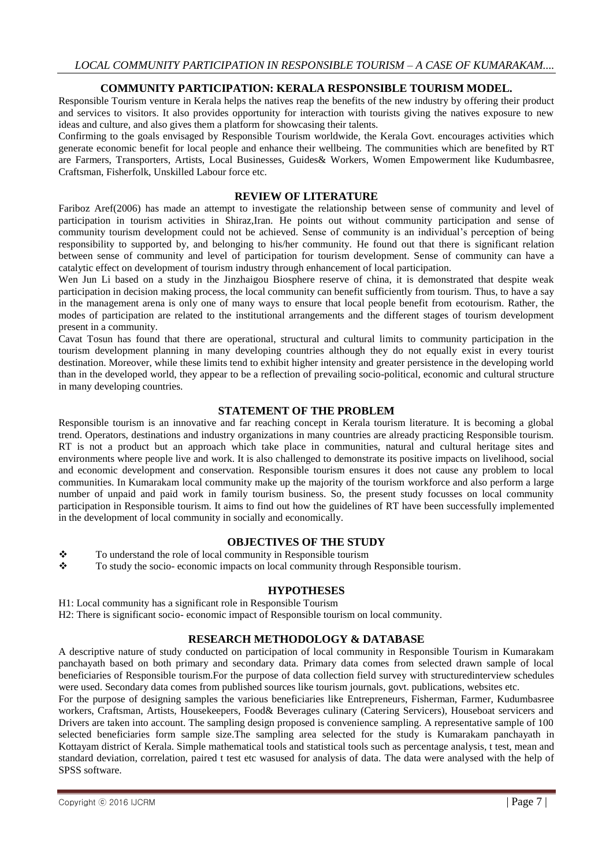## **COMMUNITY PARTICIPATION: KERALA RESPONSIBLE TOURISM MODEL.**

Responsible Tourism venture in Kerala helps the natives reap the benefits of the new industry by offering their product and services to visitors. It also provides opportunity for interaction with tourists giving the natives exposure to new ideas and culture, and also gives them a platform for showcasing their talents.

Confirming to the goals envisaged by Responsible Tourism worldwide, the Kerala Govt. encourages activities which generate economic benefit for local people and enhance their wellbeing. The communities which are benefited by RT are Farmers, Transporters, Artists, Local Businesses, Guides& Workers, Women Empowerment like Kudumbasree, Craftsman, Fisherfolk, Unskilled Labour force etc.

#### **REVIEW OF LITERATURE**

Fariboz Aref(2006) has made an attempt to investigate the relationship between sense of community and level of participation in tourism activities in Shiraz,Iran. He points out without community participation and sense of community tourism development could not be achieved. Sense of community is an individual's perception of being responsibility to supported by, and belonging to his/her community. He found out that there is significant relation between sense of community and level of participation for tourism development. Sense of community can have a catalytic effect on development of tourism industry through enhancement of local participation.

Wen Jun Li based on a study in the Jinzhaigou Biosphere reserve of china, it is demonstrated that despite weak participation in decision making process, the local community can benefit sufficiently from tourism. Thus, to have a say in the management arena is only one of many ways to ensure that local people benefit from ecotourism. Rather, the modes of participation are related to the institutional arrangements and the different stages of tourism development present in a community.

Cavat Tosun has found that there are operational, structural and cultural limits to community participation in the tourism development planning in many developing countries although they do not equally exist in every tourist destination. Moreover, while these limits tend to exhibit higher intensity and greater persistence in the developing world than in the developed world, they appear to be a reflection of prevailing socio-political, economic and cultural structure in many developing countries.

## **STATEMENT OF THE PROBLEM**

Responsible tourism is an innovative and far reaching concept in Kerala tourism literature. It is becoming a global trend. Operators, destinations and industry organizations in many countries are already practicing Responsible tourism. RT is not a product but an approach which take place in communities, natural and cultural heritage sites and environments where people live and work. It is also challenged to demonstrate its positive impacts on livelihood, social and economic development and conservation. Responsible tourism ensures it does not cause any problem to local communities. In Kumarakam local community make up the majority of the tourism workforce and also perform a large number of unpaid and paid work in family tourism business. So, the present study focusses on local community participation in Responsible tourism. It aims to find out how the guidelines of RT have been successfully implemented in the development of local community in socially and economically.

#### **OBJECTIVES OF THE STUDY**

- \* To understand the role of local community in Responsible tourism
- To study the socio- economic impacts on local community through Responsible tourism.

#### **HYPOTHESES**

H1: Local community has a significant role in Responsible Tourism

H2: There is significant socio- economic impact of Responsible tourism on local community.

#### **RESEARCH METHODOLOGY & DATABASE**

A descriptive nature of study conducted on participation of local community in Responsible Tourism in Kumarakam panchayath based on both primary and secondary data. Primary data comes from selected drawn sample of local beneficiaries of Responsible tourism.For the purpose of data collection field survey with structuredinterview schedules were used. Secondary data comes from published sources like tourism journals, govt. publications, websites etc.

For the purpose of designing samples the various beneficiaries like Entrepreneurs, Fisherman, Farmer, Kudumbasree workers, Craftsman, Artists, Housekeepers, Food& Beverages culinary (Catering Servicers), Houseboat servicers and Drivers are taken into account. The sampling design proposed is convenience sampling. A representative sample of 100 selected beneficiaries form sample size.The sampling area selected for the study is Kumarakam panchayath in Kottayam district of Kerala. Simple mathematical tools and statistical tools such as percentage analysis, t test, mean and standard deviation, correlation, paired t test etc wasused for analysis of data. The data were analysed with the help of SPSS software.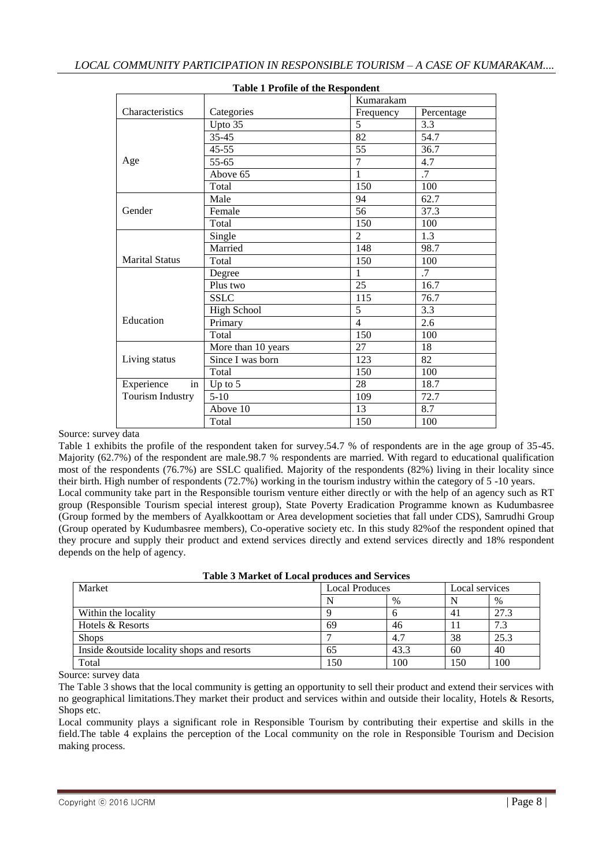| <b>TABLE 1 FTOHE OF THE NESPONDENT</b> |                      |                 |                 |  |  |  |  |
|----------------------------------------|----------------------|-----------------|-----------------|--|--|--|--|
|                                        |                      | Kumarakam       |                 |  |  |  |  |
| Characteristics                        | Categories           | Frequency       | Percentage      |  |  |  |  |
|                                        | Upto $3\overline{5}$ | $\overline{5}$  | 3.3             |  |  |  |  |
|                                        | $35 - 45$            | 82              | 54.7            |  |  |  |  |
|                                        | $45 - 55$            | 55              | 36.7            |  |  |  |  |
| Age                                    | 55-65                | $\overline{7}$  | 4.7             |  |  |  |  |
|                                        | Above 65             | $\mathbf{1}$    | $\overline{.7}$ |  |  |  |  |
|                                        | Total                | 150             | 100             |  |  |  |  |
|                                        | Male                 | 94              | 62.7            |  |  |  |  |
| Gender                                 | Female               | $\overline{56}$ | 37.3            |  |  |  |  |
|                                        | Total                | 150             | 100             |  |  |  |  |
|                                        | Single               | $\overline{2}$  | 1.3             |  |  |  |  |
|                                        | Married              | 148             | 98.7            |  |  |  |  |
| <b>Marital Status</b>                  | Total                | 150             | 100             |  |  |  |  |
|                                        | Degree               | 1               | .7              |  |  |  |  |
|                                        | Plus two             | 25              | 16.7            |  |  |  |  |
|                                        | <b>SSLC</b>          | 115             | 76.7            |  |  |  |  |
|                                        | <b>High School</b>   | 5               | 3.3             |  |  |  |  |
| Education                              | Primary              | $\overline{4}$  | 2.6             |  |  |  |  |
|                                        | Total                | 150             | 100             |  |  |  |  |
|                                        | More than 10 years   | 27              | 18              |  |  |  |  |
| Living status                          | Since I was born     | 123             | 82              |  |  |  |  |
|                                        | Total                | 150             | 100             |  |  |  |  |
| in<br>Experience                       | Up to $5$            | 28              | 18.7            |  |  |  |  |
| Tourism Industry                       | $5-10$               | 109             | 72.7            |  |  |  |  |
|                                        | Above 10             | 13              | 8.7             |  |  |  |  |
|                                        | Total                | 150             | 100             |  |  |  |  |

## **Table 1 Profile of the Respondent**

#### Source: survey data

Table 1 exhibits the profile of the respondent taken for survey.54.7 % of respondents are in the age group of 35-45. Majority (62.7%) of the respondent are male.98.7 % respondents are married. With regard to educational qualification most of the respondents (76.7%) are SSLC qualified. Majority of the respondents (82%) living in their locality since their birth. High number of respondents (72.7%) working in the tourism industry within the category of 5 -10 years. Local community take part in the Responsible tourism venture either directly or with the help of an agency such as RT group (Responsible Tourism special interest group), State Poverty Eradication Programme known as Kudumbasree (Group formed by the members of Ayalkkoottam or Area development societies that fall under CDS), Samrudhi Group (Group operated by Kudumbasree members), Co-operative society etc. In this study 82%of the respondent opined that

they procure and supply their product and extend services directly and extend services directly and 18% respondent depends on the help of agency.

| Table 3 Market of Local produces and Services |
|-----------------------------------------------|
|-----------------------------------------------|

| Market                                      | <b>Local Produces</b> |      | Local services |      |
|---------------------------------------------|-----------------------|------|----------------|------|
|                                             |                       | $\%$ |                | $\%$ |
| Within the locality                         |                       |      | 41             | 27.3 |
| Hotels & Resorts                            | 69                    | 46   |                | 7.3  |
| <b>Shops</b>                                |                       | 4.7  | 38             | 25.3 |
| Inside & outside locality shops and resorts | 65                    | 43.3 | 60             | 40   |
| Total                                       | 150                   | 100  | 150            | 100  |

Source: survey data

The Table 3 shows that the local community is getting an opportunity to sell their product and extend their services with no geographical limitations.They market their product and services within and outside their locality, Hotels & Resorts, Shops etc.

Local community plays a significant role in Responsible Tourism by contributing their expertise and skills in the field.The table 4 explains the perception of the Local community on the role in Responsible Tourism and Decision making process.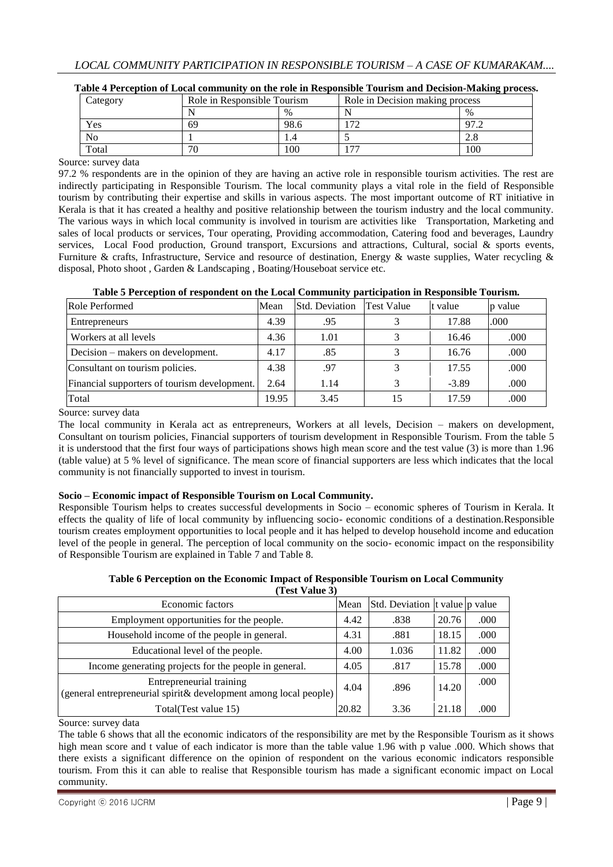| Category | Role in Responsible Tourism |      | Role in Decision making process |      |  |
|----------|-----------------------------|------|---------------------------------|------|--|
|          |                             | $\%$ |                                 | $\%$ |  |
| Yes      | 69                          | 98.6 | $\overline{\phantom{a}}$        | 07   |  |
| No       |                             |      |                                 | 4.0  |  |
| Total    | 70                          | 100  | $\overline{\phantom{a}}$        | 100  |  |

| Table 4 Perception of Local community on the role in Responsible Tourism and Decision-Making process. |  |  |  |  |
|-------------------------------------------------------------------------------------------------------|--|--|--|--|
|                                                                                                       |  |  |  |  |

#### Source: survey data

97.2 % respondents are in the opinion of they are having an active role in responsible tourism activities. The rest are indirectly participating in Responsible Tourism. The local community plays a vital role in the field of Responsible tourism by contributing their expertise and skills in various aspects. The most important outcome of RT initiative in Kerala is that it has created a healthy and positive relationship between the tourism industry and the local community. The various ways in which local community is involved in tourism are activities like Transportation, Marketing and sales of local products or services, Tour operating, Providing accommodation, Catering food and beverages, Laundry services, Local Food production, Ground transport, Excursions and attractions, Cultural, social & sports events, Furniture & crafts, Infrastructure, Service and resource of destination, Energy & waste supplies, Water recycling & disposal, Photo shoot , Garden & Landscaping , Boating/Houseboat service etc.

| Role Performed                               | Mean  | <b>Std.</b> Deviation | <b>Test Value</b> | t value | p value |
|----------------------------------------------|-------|-----------------------|-------------------|---------|---------|
| Entrepreneurs                                | 4.39  | .95                   |                   | 17.88   | .000    |
| Workers at all levels                        | 4.36  | 1.01                  |                   | 16.46   | .000    |
| Decision – makers on development.            | 4.17  | .85                   |                   | 16.76   | .000    |
| Consultant on tourism policies.              | 4.38  | .97                   |                   | 17.55   | .000    |
| Financial supporters of tourism development. | 2.64  | 1.14                  |                   | $-3.89$ | .000    |
| Total                                        | 19.95 | 3.45                  |                   | 17.59   | .000    |

## **Table 5 Perception of respondent on the Local Community participation in Responsible Tourism.**

Source: survey data

The local community in Kerala act as entrepreneurs, Workers at all levels, Decision – makers on development, Consultant on tourism policies, Financial supporters of tourism development in Responsible Tourism. From the table 5 it is understood that the first four ways of participations shows high mean score and the test value (3) is more than 1.96 (table value) at 5 % level of significance. The mean score of financial supporters are less which indicates that the local community is not financially supported to invest in tourism.

## **Socio – Economic impact of Responsible Tourism on Local Community.**

Responsible Tourism helps to creates successful developments in Socio – economic spheres of Tourism in Kerala. It effects the quality of life of local community by influencing socio- economic conditions of a destination.Responsible tourism creates employment opportunities to local people and it has helped to develop household income and education level of the people in general. The perception of local community on the socio- economic impact on the responsibility of Responsible Tourism are explained in Table 7 and Table 8.

#### **Table 6 Perception on the Economic Impact of Responsible Tourism on Local Community (Test Value 3)**

| Economic factors                                                                             | Mean  | Std. Deviation t value p value |       |      |
|----------------------------------------------------------------------------------------------|-------|--------------------------------|-------|------|
| Employment opportunities for the people.                                                     | 4.42  | .838                           | 20.76 | .000 |
| Household income of the people in general.                                                   | 4.31  | .881                           | 18.15 | .000 |
| Educational level of the people.                                                             | 4.00  | 1.036                          | 11.82 | .000 |
| Income generating projects for the people in general.                                        | 4.05  | .817                           | 15.78 | .000 |
| Entrepreneurial training<br>(general entrepreneurial spirit& development among local people) | 4.04  | .896                           | 14.20 | .000 |
| Total (Test value 15)                                                                        | 20.82 | 3.36                           | 21.18 | .000 |

Source: survey data

The table 6 shows that all the economic indicators of the responsibility are met by the Responsible Tourism as it shows high mean score and t value of each indicator is more than the table value 1.96 with p value .000. Which shows that there exists a significant difference on the opinion of respondent on the various economic indicators responsible tourism. From this it can able to realise that Responsible tourism has made a significant economic impact on Local community.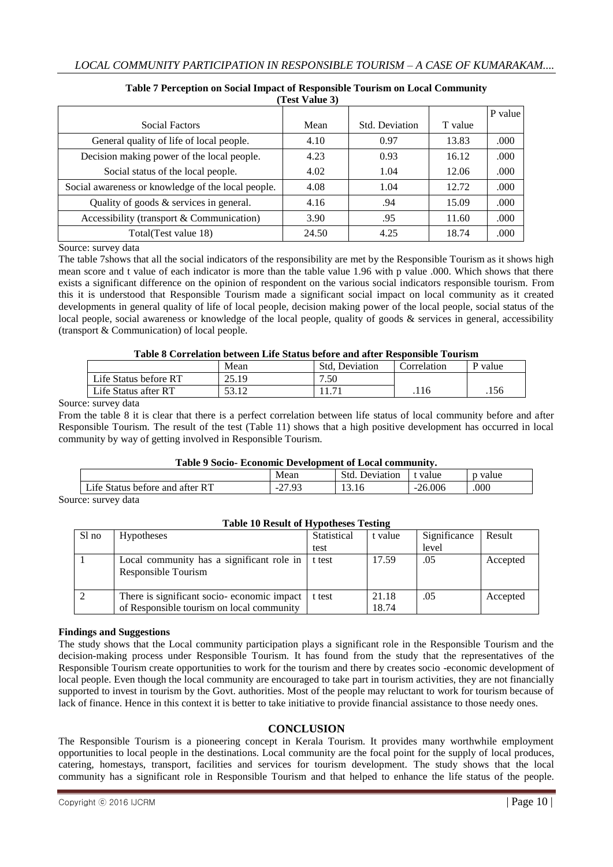| (Test Value 3)                                     |       |                       |         |         |  |  |  |
|----------------------------------------------------|-------|-----------------------|---------|---------|--|--|--|
|                                                    |       |                       |         | P value |  |  |  |
| Social Factors                                     | Mean  | <b>Std. Deviation</b> | T value |         |  |  |  |
| General quality of life of local people.           | 4.10  | 0.97                  | 13.83   | .000    |  |  |  |
| Decision making power of the local people.         | 4.23  | 0.93                  | 16.12   | .000    |  |  |  |
| Social status of the local people.                 | 4.02  | 1.04                  | 12.06   | .000    |  |  |  |
| Social awareness or knowledge of the local people. | 4.08  | 1.04                  | 12.72   | .000    |  |  |  |
| Quality of goods $&$ services in general.          | 4.16  | .94                   | 15.09   | .000    |  |  |  |
| Accessibility (transport & Communication)          | 3.90  | .95                   | 11.60   | .000    |  |  |  |
| Total(Test value 18)                               | 24.50 | 4.25                  | 18.74   | .000    |  |  |  |

# **Table 7 Perception on Social Impact of Responsible Tourism on Local Community**

Source: survey data

The table 7shows that all the social indicators of the responsibility are met by the Responsible Tourism as it shows high mean score and t value of each indicator is more than the table value 1.96 with p value .000. Which shows that there exists a significant difference on the opinion of respondent on the various social indicators responsible tourism. From this it is understood that Responsible Tourism made a significant social impact on local community as it created developments in general quality of life of local people, decision making power of the local people, social status of the local people, social awareness or knowledge of the local people, quality of goods & services in general, accessibility (transport & Communication) of local people.

#### **Table 8 Correlation between Life Status before and after Responsible Tourism**

| THUIL O COITENUM DELWEEN LIIE DRIMO DEMILE MIM MIEL TEODOMONIC TOMTOM |                |                       |             |       |  |  |  |  |
|-----------------------------------------------------------------------|----------------|-----------------------|-------------|-------|--|--|--|--|
|                                                                       | Mean           | <b>Std. Deviation</b> | Correlation | value |  |  |  |  |
| Life Status before RT                                                 | 25.19          | 7.50                  |             |       |  |  |  |  |
| Life Status after RT                                                  | 50 10<br>JJ.IZ |                       |             | .156  |  |  |  |  |

#### Source: survey data

From the table 8 it is clear that there is a perfect correlation between life status of local community before and after Responsible Tourism. The result of the test (Table 11) shows that a high positive development has occurred in local community by way of getting involved in Responsible Tourism.

## **Table 9 Socio- Economic Development of Local community.**

| .<br>.<br>LICOMOMMO D'UT VIODIMUNIU OI LIOCAN COMMINISTIE |                                          |                   |           |       |  |  |  |
|-----------------------------------------------------------|------------------------------------------|-------------------|-----------|-------|--|--|--|
|                                                           | Mean                                     | Std.<br>Deviation | value     | value |  |  |  |
| Life Status before and after RT                           | $\sim$<br>$\sim$ $\sim$<br>$-L$<br>ل د . | L3.IO             | $-26.006$ | .000  |  |  |  |
|                                                           |                                          |                   |           |       |  |  |  |

Source: survey data

## **Table 10 Result of Hypotheses Testing**

| Sl no | <b>Hypotheses</b>                                                                       | Statistical | t value        | Significance | Result   |
|-------|-----------------------------------------------------------------------------------------|-------------|----------------|--------------|----------|
|       |                                                                                         | test        |                | level        |          |
|       | Local community has a significant role in<br>Responsible Tourism                        | t test      | 17.59          | .05          | Accepted |
|       | There is significant socio-economic impact<br>of Responsible tourism on local community | t test      | 21.18<br>18.74 | .05          | Accepted |

## **Findings and Suggestions**

The study shows that the Local community participation plays a significant role in the Responsible Tourism and the decision-making process under Responsible Tourism. It has found from the study that the representatives of the Responsible Tourism create opportunities to work for the tourism and there by creates socio -economic development of local people. Even though the local community are encouraged to take part in tourism activities, they are not financially supported to invest in tourism by the Govt. authorities. Most of the people may reluctant to work for tourism because of lack of finance. Hence in this context it is better to take initiative to provide financial assistance to those needy ones.

## **CONCLUSION**

The Responsible Tourism is a pioneering concept in Kerala Tourism. It provides many worthwhile employment opportunities to local people in the destinations. Local community are the focal point for the supply of local produces, catering, homestays, transport, facilities and services for tourism development. The study shows that the local community has a significant role in Responsible Tourism and that helped to enhance the life status of the people.